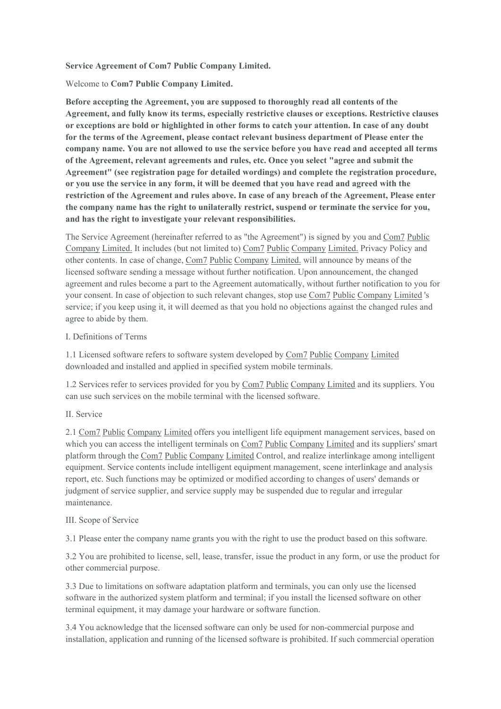# **Service Agreement of Com7 Public Company Limited.**

Welcome to **Com7 Public Company Limited.**

**Before accepting the Agreement, you are supposed tothoroughly read all contents ofthe Agreement, and fully know its terms, especially restrictive clauses or exceptions. Restrictive clauses or exceptions are bold or highlighted in other forms to catch your attention. In case of any doubt for the terms ofthe Agreement, please contact relevant business department of Please enter the company name. You are not allowed touse the service before you have read and accepted allterms of the Agreement, relevant agreements and rules, etc. Once you select "agree and submit the Agreement" (see registration page for detailed wordings) and complete the registration procedure,** or you use the service in any form, it will be deemed that you have read and agreed with the **restriction of the Agreement and rules above. In case of any breach of the Agreement, Please enter** the company name has the right to unilaterally restrict, suspend or terminate the service for you, and has the right to investigate your relevant responsibilities.

The Service Agreement (hereinafter referred to as"the Agreement") is signed by you and Com7 Public Company Limited. It includes (but not limited to) Com7 Public Company Limited. Privacy Policy and other contents. In case of change, Com7 Public Company Limited. will announce by means ofthe licensed software sending a message without further notification. Upon announcement, the changed agreement and rules become a part to the Agreement automatically, without further notification to you for your consent. In case of objection to such relevant changes, stop use Com7 Public Company Limited 's service; if you keep using it, itwill deemed as that you hold no objections against the changed rules and agree to abide by them.

# I. Definitions of Terms

1.1 Licensed software refers to software system developed by Com7 Public Company Limited downloaded and installed and applied in specified system mobile terminals.

1.2 Services refer to services provided for you by Com7 Public Company Limited and its suppliers. You can use such services on the mobile terminal with the licensed software.

# II. Service

2.1 Com7 Public Company Limited offers you intelligent life equipment management services, based on which you can access the intelligent terminals on Com7 Public Company Limited and its suppliers' smart platform through the Com7 Public Company Limited Control, and realize interlinkage among intelligent equipment. Service contents include intelligent equipment management, scene interlinkage and analysis report, etc. Such functions may be optimized or modified according to changes ofusers' demands or judgment of service supplier, and service supply may be suspended due to regular and irregular maintenance.

# III. Scope of Service

3.1 Please enter the company name grants you with the right to use the product based on this software.

3.2 You are prohibited to license, sell, lease, transfer, issue the product in any form, or use the product for other commercial purpose.

3.3 Due to limitations on software adaptation platform and terminals, you can only use the licensed software in the authorized system platform and terminal; if you install the licensed software on other terminal equipment, it may damage your hardware or software function.

3.4 You acknowledge that the licensed software can only be used for non-commercial purpose and installation, application and running of the licensed software is prohibited. If such commercial operation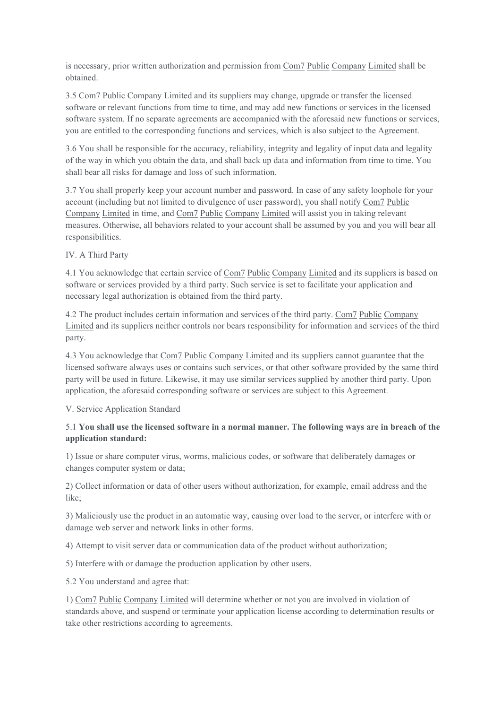is necessary, prior written authorization and permission from Com7 Public Company Limited shall be obtained.

3.5 Com7 Public Company Limited and its suppliers may change, upgrade or transfer the licensed software or relevant functions from time to time, and may add new functions orservices in the licensed software system. If no separate agreements are accompanied with the aforesaid new functions or services, you are entitled to the corresponding functions and services, which is also subject to the Agreement.

3.6 You shall be responsible for the accuracy, reliability, integrity and legality of input data and legality of the way in which you obtain the data, and shall back up data and information from time to time. You shall bear all risks for damage and loss of such information.

3.7 You shall properly keep your account number and password. In case of any safety loophole for your account (including but not limited to divulgence of user password), you shall notify Com7 Public Company Limited in time, and Com7 Public Company Limited will assistyou in taking relevant measures. Otherwise, all behaviors related to youraccount shall be assumed by you and you will bear all responsibilities.

# IV. A Third Party

4.1 You acknowledge that certain service of Com7 Public Company Limited and its suppliers is based on software or services provided by a third party. Such service is set to facilitate yourapplication and necessary legal authorization is obtained from the third party.

4.2 The product includes certain information and services of the third party. Com7 Public Company Limited and its suppliers neither controls nor bears responsibility for information and services of the third party.

4.3 You acknowledge that Com7 Public Company Limited and its suppliers cannot guarantee that the licensed software always uses orcontains such services, or that other software provided by the same third party will be used in future. Likewise, it may use similar services supplied by another third party. Upon application, the aforesaid corresponding software or services are subject to this Agreement.

# V. Service Application Standard

# 5.1 **You shall use the licensed software in a normal manner. The following ways are in breach ofthe application standard:**

1) Issue or share computer virus, worms, malicious codes, or software that deliberately damages or changes computer system or data;

2) Collect information or data of other users without authorization, for example, email address and the like;

3) Maliciously use the product in an automatic way, causing over load to the server, or interfere with or damage web server and network links in other forms.

4) Attempt to visit server data or communication data of the product without authorization;

5) Interfere with or damage the production application by other users.

5.2 You understand and agree that:

1) Com7 Public Company Limited will determine whether or not you are involved in violation of standards above, and suspend or terminate yourapplication license according to determination results or take other restrictions according to agreements.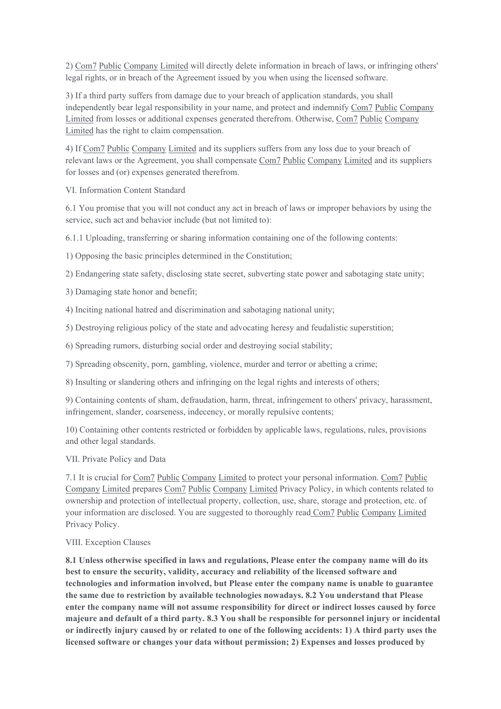2) Com7 Public Company Limited will directly delete information in breach of laws, or infringing others' legal rights, or in breach of the Agreement issued by you when using the licensed software.

3) If a third party suffers from damage due to your breach of application standards, you shall independently bear legal responsibility in your name, and protect and indemnify Com7 Public Company Limited from losses or additional expenses generated therefrom. Otherwise, Com7 Public Company Limited has the right to claim compensation.

4) If Com7 Public Company Limited and its suppliers suffers from any loss due to your breach of relevant laws or the Agreement, you shall compensate Com7 Public Company Limited and its suppliers for losses and (or) expenses generated therefrom.

VI. Information Content Standard

6.1 You promise that you will not conduct any act in breach of laws or improper behaviors by using the service, such act and behavior include (but not limited to):

 $6.1.1$  Uploading, transferring or sharing information containing one of the following contents:

1) Opposing the basic principles determined in the Constitution;

2) Endangering state safety, disclosing state secret, subverting state power and sabotaging state unity;

3) Damaging state honor and benefit;

4) Inciting national hatred and discrimination and sabotaging national unity;

5) Destroying religious policy of the state and advocating heresy and feudalistic superstition;

6) Spreading rumors, disturbing social order and destroying social stability;

7) Spreading obscenity, porn, gambling, violence, murder and terror or abetting a crime;

8) Insulting or slandering others and infringing on the legal rights and interests of others;

9) Containing contents ofsham, defraudation, harm, threat, infringement to others' privacy, harassment, infringement, slander, coarseness, indecency, or morally repulsive contents;

10) Containing other contents restricted or forbidden by applicable laws, regulations, rules, provisions and other legal standards.

VII. Private Policy and Data

7.1 It is crucial for Com7 Public Company Limited to protect your personal information. Com7 Public Company Limited prepares Com7 Public Company Limited Privacy Policy, in which contents related to ownership and protection of intellectual property, collection, use, share, storage and protection, etc. of your information are disclosed. You are suggested to thoroughly read Com7 Public Company Limited Privacy Policy.

# VIII. Exception Clauses

**8.1 Unless otherwise specified in lawsand regulations, Please enter the company name will do its best to ensure the security, validity, accuracy and reliability of the licensed software and technologies and information involved, but Please enter the company name is unable to guarantee the same due to restriction by available technologies nowadays. 8.2 You understand that Please enter the company name will not assume responsibility for direct or indirect losses caused by force majeure and default of a third party. 8.3 You shall be responsible for personnel injury or incidental** or indirectly injury caused by or related to one of the following accidents: 1) A third party uses the **licensed software or changes your data without permission; 2) Expenses and losses produced by**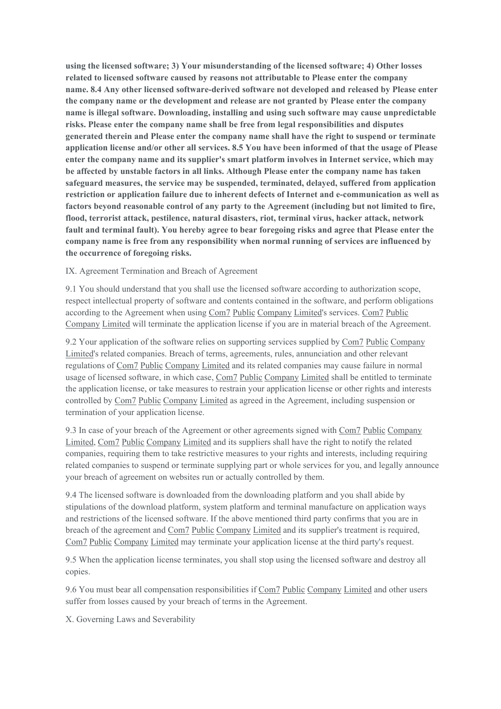**using the licensed software;3) Your misunderstanding of the licensed software;4) Other losses related tolicensed software caused by reasons not attributable to Please enter the company name. 8.4 Any other licensed software-derived software not developed and released by Please enter the company name or the development and release are not granted by Please enter the company name is illegal software. Downloading, installing and using such software may cause unpredictable risks. Please enter the company name shall be free from legal responsibilities and disputes generated therein and Please enter the company name shall have the right to suspend or terminate application license and/or other all services. 8.5 You have been informed of that the usage of Please enter the company name and its supplier's smart platform involves in Internet service, which may be affected by unstable factors in all links. Although Please enter the company name has taken safeguard measures, the service may be suspended, terminated, delayed, suffered from application restriction or application failure due to inherent defects ofInternet and e-communication as well as factors beyond reasonable control of any party to the Agreement (including but not limited tofire, flood, terrorist attack, pestilence, natural disasters, riot, terminal virus, hacker attack, network fault and terminal fault). You hereby agree to bear foregoing risks and agree that Please enter the company name is free from any responsibility when normal running of services are influenced by the occurrence of foregoing risks.**

# IX. Agreement Termination and Breach of Agreement

9.1 You should understand that you shall use the licensed software according to authorization scope, respect intellectual property of software and contents contained in the software, and perform obligations according to the Agreement when using Com7 Public Company Limited's services. Com7 Public Company Limited will terminate the application license if you are in material breach of the Agreement.

9.2 Your application of the software relies on supporting services supplied by Com7 Public Company Limited's related companies. Breach of terms, agreements, rules, annunciation and other relevant regulations ofCom7 Public Company Limited and its related companies may cause failure in normal usage of licensed software, in which case, Com7 Public Company Limited shall be entitled to terminate the application license, or take measures to restrain your application license or other rights and interests controlled by Com7 Public Company Limited as agreed in the Agreement, including suspension or termination of yourapplication license.

9.3 In case of your breach of the Agreement or other agreements signed with Com7 Public Company Limited, Com7 Public Company Limited and its suppliers shallhave the right to notify the related companies, requiring them to take restrictive measures to your rights and interests, including requiring related companies to suspend or terminate supplying part or whole services for you, and legally announce your breach of agreement on websites run or actually controlled by them.

9.4 The licensed software is downloaded from the downloading platform and you shall abide by stipulations of the download platform, system platform and terminal manufacture on application ways and restrictions of the licensed software. If the above mentioned third party confirms that you are in breach of the agreement and Com7 Public Company Limited and its supplier's treatment is required, Com7 Public Company Limited may terminate yourapplication license at the third party's request.

9.5 When the application license terminates, you shall stop using the licensed software and destroy all copies.

9.6 You must bear all compensation responsibilities if Com7 Public Company Limited and other users suffer from losses caused by your breach of terms in the Agreement.

X. Governing Laws and Severability